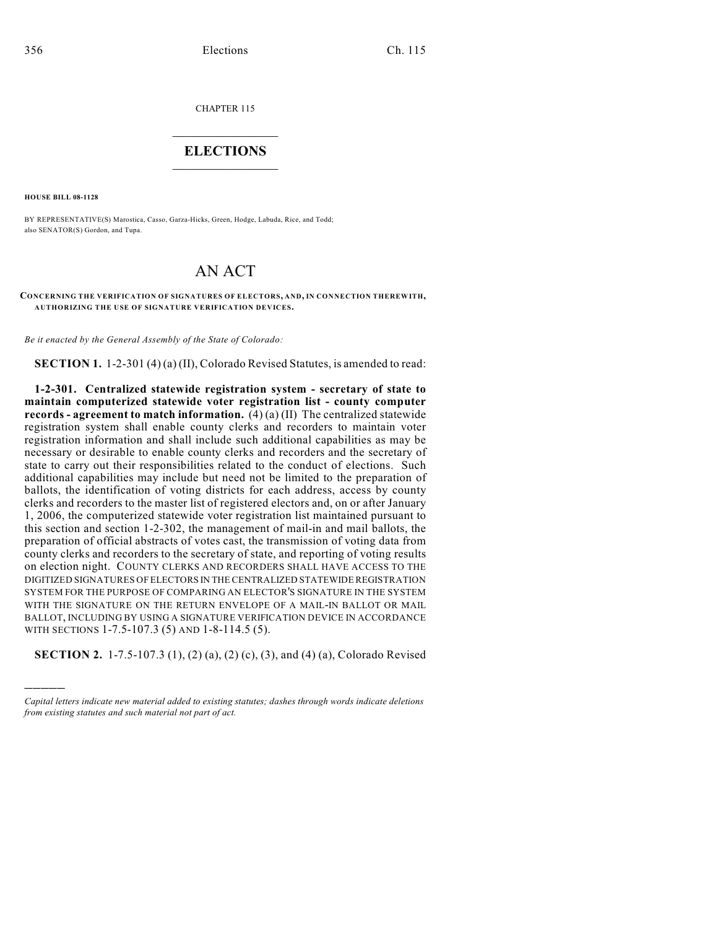CHAPTER 115

## $\mathcal{L}_\text{max}$  . The set of the set of the set of the set of the set of the set of the set of the set of the set of the set of the set of the set of the set of the set of the set of the set of the set of the set of the set **ELECTIONS**  $\_$

**HOUSE BILL 08-1128**

)))))

BY REPRESENTATIVE(S) Marostica, Casso, Garza-Hicks, Green, Hodge, Labuda, Rice, and Todd; also SENATOR(S) Gordon, and Tupa.

## AN ACT

**CONCERNING THE VERIFICATION OF SIGNATURES OF ELECTORS, AND, IN CONNECTION THEREWITH, AUTHORIZING THE USE OF SIGNATURE VERIFICATION DEVICES.**

*Be it enacted by the General Assembly of the State of Colorado:*

**SECTION 1.** 1-2-301 (4) (a) (II), Colorado Revised Statutes, is amended to read:

**1-2-301. Centralized statewide registration system - secretary of state to maintain computerized statewide voter registration list - county computer records - agreement to match information.** (4) (a) (II) The centralized statewide registration system shall enable county clerks and recorders to maintain voter registration information and shall include such additional capabilities as may be necessary or desirable to enable county clerks and recorders and the secretary of state to carry out their responsibilities related to the conduct of elections. Such additional capabilities may include but need not be limited to the preparation of ballots, the identification of voting districts for each address, access by county clerks and recorders to the master list of registered electors and, on or after January 1, 2006, the computerized statewide voter registration list maintained pursuant to this section and section 1-2-302, the management of mail-in and mail ballots, the preparation of official abstracts of votes cast, the transmission of voting data from county clerks and recorders to the secretary of state, and reporting of voting results on election night. COUNTY CLERKS AND RECORDERS SHALL HAVE ACCESS TO THE DIGITIZED SIGNATURES OF ELECTORS IN THE CENTRALIZED STATEWIDE REGISTRATION SYSTEM FOR THE PURPOSE OF COMPARING AN ELECTOR'S SIGNATURE IN THE SYSTEM WITH THE SIGNATURE ON THE RETURN ENVELOPE OF A MAIL-IN BALLOT OR MAIL. BALLOT, INCLUDING BY USING A SIGNATURE VERIFICATION DEVICE IN ACCORDANCE WITH SECTIONS 1-7.5-107.3 (5) AND 1-8-114.5 (5).

**SECTION 2.** 1-7.5-107.3 (1), (2) (a), (2) (c), (3), and (4) (a), Colorado Revised

*Capital letters indicate new material added to existing statutes; dashes through words indicate deletions from existing statutes and such material not part of act.*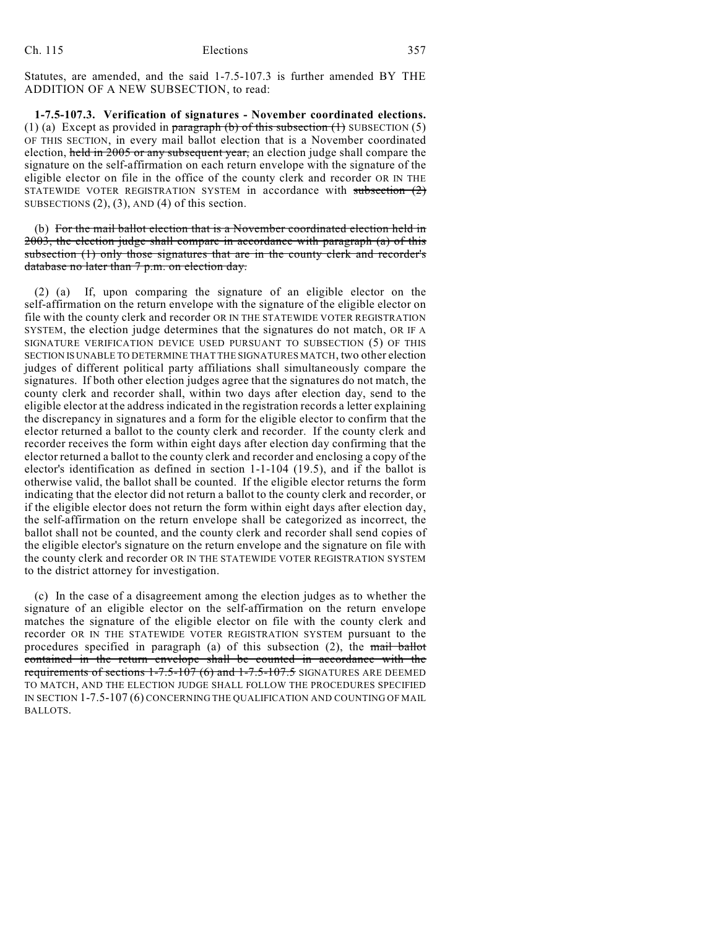Statutes, are amended, and the said 1-7.5-107.3 is further amended BY THE ADDITION OF A NEW SUBSECTION, to read:

**1-7.5-107.3. Verification of signatures - November coordinated elections.** (1) (a) Except as provided in paragraph (b) of this subsection  $(1)$  SUBSECTION  $(5)$ OF THIS SECTION, in every mail ballot election that is a November coordinated election, held in 2005 or any subsequent year, an election judge shall compare the signature on the self-affirmation on each return envelope with the signature of the eligible elector on file in the office of the county clerk and recorder OR IN THE STATEWIDE VOTER REGISTRATION SYSTEM in accordance with subsection (2) SUBSECTIONS  $(2)$ ,  $(3)$ , AND  $(4)$  of this section.

(b) For the mail ballot election that is a November coordinated election held in 2003, the election judge shall compare in accordance with paragraph (a) of this subsection (1) only those signatures that are in the county clerk and recorder's database no later than 7 p.m. on election day.

(2) (a) If, upon comparing the signature of an eligible elector on the self-affirmation on the return envelope with the signature of the eligible elector on file with the county clerk and recorder OR IN THE STATEWIDE VOTER REGISTRATION SYSTEM, the election judge determines that the signatures do not match, OR IF A SIGNATURE VERIFICATION DEVICE USED PURSUANT TO SUBSECTION (5) OF THIS SECTION IS UNABLE TO DETERMINE THAT THE SIGNATURES MATCH, two other election judges of different political party affiliations shall simultaneously compare the signatures. If both other election judges agree that the signatures do not match, the county clerk and recorder shall, within two days after election day, send to the eligible elector at the address indicated in the registration records a letter explaining the discrepancy in signatures and a form for the eligible elector to confirm that the elector returned a ballot to the county clerk and recorder. If the county clerk and recorder receives the form within eight days after election day confirming that the elector returned a ballot to the county clerk and recorder and enclosing a copy of the elector's identification as defined in section 1-1-104 (19.5), and if the ballot is otherwise valid, the ballot shall be counted. If the eligible elector returns the form indicating that the elector did not return a ballot to the county clerk and recorder, or if the eligible elector does not return the form within eight days after election day, the self-affirmation on the return envelope shall be categorized as incorrect, the ballot shall not be counted, and the county clerk and recorder shall send copies of the eligible elector's signature on the return envelope and the signature on file with the county clerk and recorder OR IN THE STATEWIDE VOTER REGISTRATION SYSTEM to the district attorney for investigation.

(c) In the case of a disagreement among the election judges as to whether the signature of an eligible elector on the self-affirmation on the return envelope matches the signature of the eligible elector on file with the county clerk and recorder OR IN THE STATEWIDE VOTER REGISTRATION SYSTEM pursuant to the procedures specified in paragraph (a) of this subsection  $(2)$ , the mail ballot contained in the return envelope shall be counted in accordance with the requirements of sections  $1-7.5-107$  (6) and  $1-7.5-107.5$  SIGNATURES ARE DEEMED TO MATCH, AND THE ELECTION JUDGE SHALL FOLLOW THE PROCEDURES SPECIFIED IN SECTION 1-7.5-107 (6) CONCERNING THE QUALIFICATION AND COUNTING OF MAIL BALLOTS.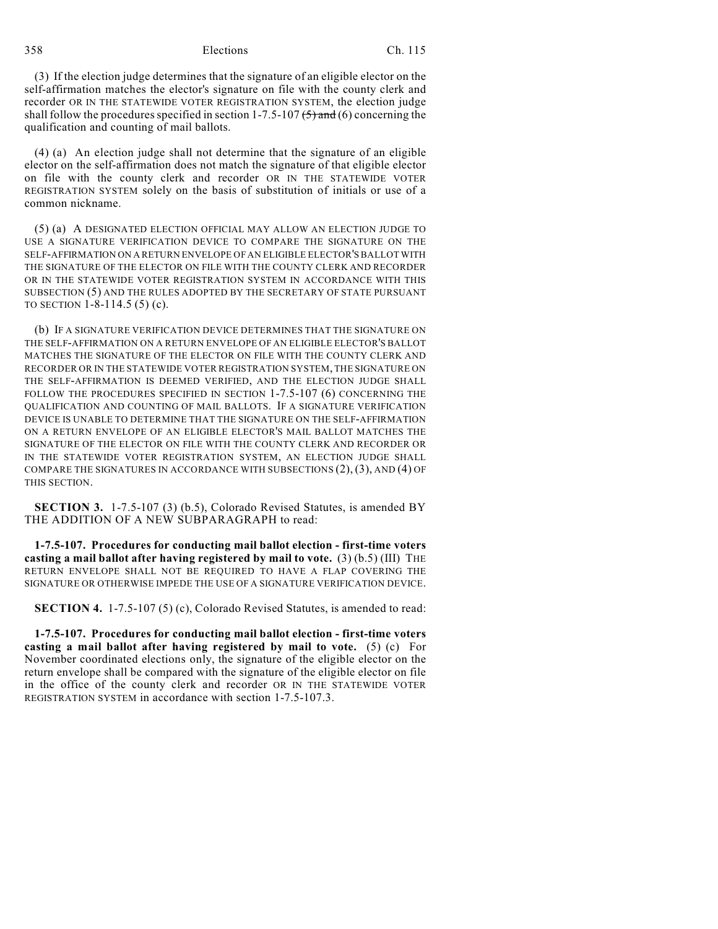358 Elections Ch. 115

(3) If the election judge determines that the signature of an eligible elector on the self-affirmation matches the elector's signature on file with the county clerk and recorder OR IN THE STATEWIDE VOTER REGISTRATION SYSTEM, the election judge shall follow the procedures specified in section 1-7.5-107  $(5)$  and (6) concerning the qualification and counting of mail ballots.

(4) (a) An election judge shall not determine that the signature of an eligible elector on the self-affirmation does not match the signature of that eligible elector on file with the county clerk and recorder OR IN THE STATEWIDE VOTER REGISTRATION SYSTEM solely on the basis of substitution of initials or use of a common nickname.

(5) (a) A DESIGNATED ELECTION OFFICIAL MAY ALLOW AN ELECTION JUDGE TO USE A SIGNATURE VERIFICATION DEVICE TO COMPARE THE SIGNATURE ON THE SELF-AFFIRMATION ON A RETURN ENVELOPE OF AN ELIGIBLE ELECTOR'S BALLOT WITH THE SIGNATURE OF THE ELECTOR ON FILE WITH THE COUNTY CLERK AND RECORDER OR IN THE STATEWIDE VOTER REGISTRATION SYSTEM IN ACCORDANCE WITH THIS SUBSECTION (5) AND THE RULES ADOPTED BY THE SECRETARY OF STATE PURSUANT TO SECTION 1-8-114.5 (5) (c).

(b) IF A SIGNATURE VERIFICATION DEVICE DETERMINES THAT THE SIGNATURE ON THE SELF-AFFIRMATION ON A RETURN ENVELOPE OF AN ELIGIBLE ELECTOR'S BALLOT MATCHES THE SIGNATURE OF THE ELECTOR ON FILE WITH THE COUNTY CLERK AND RECORDER OR IN THE STATEWIDE VOTER REGISTRATION SYSTEM, THE SIGNATURE ON THE SELF-AFFIRMATION IS DEEMED VERIFIED, AND THE ELECTION JUDGE SHALL FOLLOW THE PROCEDURES SPECIFIED IN SECTION 1-7.5-107 (6) CONCERNING THE QUALIFICATION AND COUNTING OF MAIL BALLOTS. IF A SIGNATURE VERIFICATION DEVICE IS UNABLE TO DETERMINE THAT THE SIGNATURE ON THE SELF-AFFIRMATION ON A RETURN ENVELOPE OF AN ELIGIBLE ELECTOR'S MAIL BALLOT MATCHES THE SIGNATURE OF THE ELECTOR ON FILE WITH THE COUNTY CLERK AND RECORDER OR IN THE STATEWIDE VOTER REGISTRATION SYSTEM, AN ELECTION JUDGE SHALL COMPARE THE SIGNATURES IN ACCORDANCE WITH SUBSECTIONS (2), (3), AND (4) OF THIS SECTION.

**SECTION 3.** 1-7.5-107 (3) (b.5), Colorado Revised Statutes, is amended BY THE ADDITION OF A NEW SUBPARAGRAPH to read:

**1-7.5-107. Procedures for conducting mail ballot election - first-time voters casting a mail ballot after having registered by mail to vote.** (3) (b.5) (III) THE RETURN ENVELOPE SHALL NOT BE REQUIRED TO HAVE A FLAP COVERING THE SIGNATURE OR OTHERWISE IMPEDE THE USE OF A SIGNATURE VERIFICATION DEVICE.

**SECTION 4.** 1-7.5-107 (5) (c), Colorado Revised Statutes, is amended to read:

**1-7.5-107. Procedures for conducting mail ballot election - first-time voters casting a mail ballot after having registered by mail to vote.** (5) (c) For November coordinated elections only, the signature of the eligible elector on the return envelope shall be compared with the signature of the eligible elector on file in the office of the county clerk and recorder OR IN THE STATEWIDE VOTER REGISTRATION SYSTEM in accordance with section 1-7.5-107.3.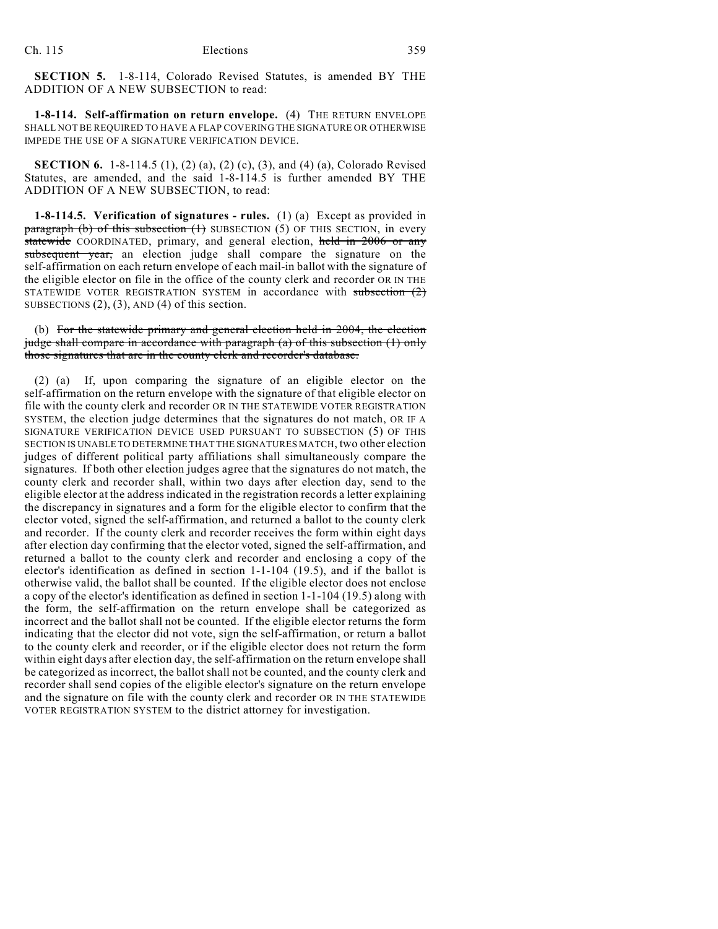**SECTION 5.** 1-8-114, Colorado Revised Statutes, is amended BY THE ADDITION OF A NEW SUBSECTION to read:

**1-8-114. Self-affirmation on return envelope.** (4) THE RETURN ENVELOPE SHALL NOT BE REQUIRED TO HAVE A FLAP COVERING THE SIGNATURE OR OTHERWISE IMPEDE THE USE OF A SIGNATURE VERIFICATION DEVICE.

**SECTION 6.** 1-8-114.5 (1), (2) (a), (2) (c), (3), and (4) (a), Colorado Revised Statutes, are amended, and the said 1-8-114.5 is further amended BY THE ADDITION OF A NEW SUBSECTION, to read:

**1-8-114.5. Verification of signatures - rules.** (1) (a) Except as provided in **paragraph (b) of this subsection (1)** SUBSECTION (5) OF THIS SECTION, in every statewide COORDINATED, primary, and general election, held in 2006 or any subsequent year, an election judge shall compare the signature on the self-affirmation on each return envelope of each mail-in ballot with the signature of the eligible elector on file in the office of the county clerk and recorder OR IN THE STATEWIDE VOTER REGISTRATION SYSTEM in accordance with subsection  $(2)$ SUBSECTIONS  $(2)$ ,  $(3)$ , AND  $(4)$  of this section.

(b) For the statewide primary and general election held in 2004, the election judge shall compare in accordance with paragraph (a) of this subsection (1) only those signatures that are in the county clerk and recorder's database.

(2) (a) If, upon comparing the signature of an eligible elector on the self-affirmation on the return envelope with the signature of that eligible elector on file with the county clerk and recorder OR IN THE STATEWIDE VOTER REGISTRATION SYSTEM, the election judge determines that the signatures do not match, OR IF A SIGNATURE VERIFICATION DEVICE USED PURSUANT TO SUBSECTION (5) OF THIS SECTION IS UNABLE TO DETERMINE THAT THE SIGNATURES MATCH, two other election judges of different political party affiliations shall simultaneously compare the signatures. If both other election judges agree that the signatures do not match, the county clerk and recorder shall, within two days after election day, send to the eligible elector at the address indicated in the registration records a letter explaining the discrepancy in signatures and a form for the eligible elector to confirm that the elector voted, signed the self-affirmation, and returned a ballot to the county clerk and recorder. If the county clerk and recorder receives the form within eight days after election day confirming that the elector voted, signed the self-affirmation, and returned a ballot to the county clerk and recorder and enclosing a copy of the elector's identification as defined in section 1-1-104 (19.5), and if the ballot is otherwise valid, the ballot shall be counted. If the eligible elector does not enclose a copy of the elector's identification as defined in section 1-1-104 (19.5) along with the form, the self-affirmation on the return envelope shall be categorized as incorrect and the ballot shall not be counted. If the eligible elector returns the form indicating that the elector did not vote, sign the self-affirmation, or return a ballot to the county clerk and recorder, or if the eligible elector does not return the form within eight days after election day, the self-affirmation on the return envelope shall be categorized as incorrect, the ballot shall not be counted, and the county clerk and recorder shall send copies of the eligible elector's signature on the return envelope and the signature on file with the county clerk and recorder OR IN THE STATEWIDE VOTER REGISTRATION SYSTEM to the district attorney for investigation.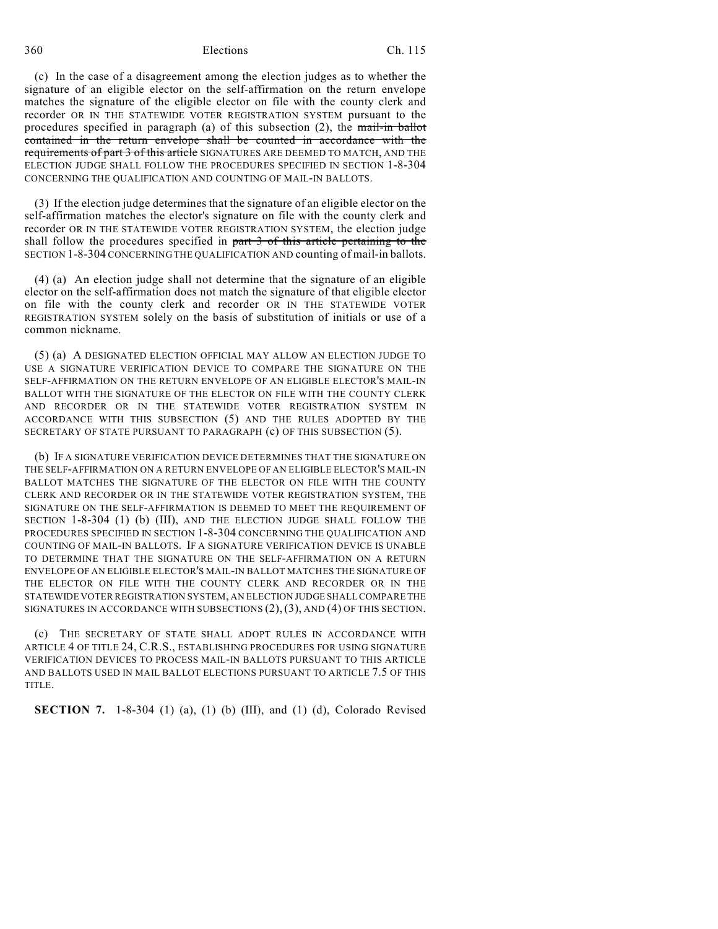## 360 Elections Ch. 115

(c) In the case of a disagreement among the election judges as to whether the signature of an eligible elector on the self-affirmation on the return envelope matches the signature of the eligible elector on file with the county clerk and recorder OR IN THE STATEWIDE VOTER REGISTRATION SYSTEM pursuant to the procedures specified in paragraph (a) of this subsection  $(2)$ , the mail-in ballot contained in the return envelope shall be counted in accordance with the requirements of part 3 of this article SIGNATURES ARE DEEMED TO MATCH, AND THE ELECTION JUDGE SHALL FOLLOW THE PROCEDURES SPECIFIED IN SECTION 1-8-304 CONCERNING THE QUALIFICATION AND COUNTING OF MAIL-IN BALLOTS.

(3) If the election judge determines that the signature of an eligible elector on the self-affirmation matches the elector's signature on file with the county clerk and recorder OR IN THE STATEWIDE VOTER REGISTRATION SYSTEM, the election judge shall follow the procedures specified in part 3 of this article pertaining to the SECTION 1-8-304 CONCERNING THE QUALIFICATION AND counting of mail-in ballots.

(4) (a) An election judge shall not determine that the signature of an eligible elector on the self-affirmation does not match the signature of that eligible elector on file with the county clerk and recorder OR IN THE STATEWIDE VOTER REGISTRATION SYSTEM solely on the basis of substitution of initials or use of a common nickname.

(5) (a) A DESIGNATED ELECTION OFFICIAL MAY ALLOW AN ELECTION JUDGE TO USE A SIGNATURE VERIFICATION DEVICE TO COMPARE THE SIGNATURE ON THE SELF-AFFIRMATION ON THE RETURN ENVELOPE OF AN ELIGIBLE ELECTOR'S MAIL-IN BALLOT WITH THE SIGNATURE OF THE ELECTOR ON FILE WITH THE COUNTY CLERK AND RECORDER OR IN THE STATEWIDE VOTER REGISTRATION SYSTEM IN ACCORDANCE WITH THIS SUBSECTION (5) AND THE RULES ADOPTED BY THE SECRETARY OF STATE PURSUANT TO PARAGRAPH (c) OF THIS SUBSECTION (5).

(b) IF A SIGNATURE VERIFICATION DEVICE DETERMINES THAT THE SIGNATURE ON THE SELF-AFFIRMATION ON A RETURN ENVELOPE OF AN ELIGIBLE ELECTOR'S MAIL-IN BALLOT MATCHES THE SIGNATURE OF THE ELECTOR ON FILE WITH THE COUNTY CLERK AND RECORDER OR IN THE STATEWIDE VOTER REGISTRATION SYSTEM, THE SIGNATURE ON THE SELF-AFFIRMATION IS DEEMED TO MEET THE REQUIREMENT OF SECTION 1-8-304 (1) (b) (III), AND THE ELECTION JUDGE SHALL FOLLOW THE PROCEDURES SPECIFIED IN SECTION 1-8-304 CONCERNING THE QUALIFICATION AND COUNTING OF MAIL-IN BALLOTS. IF A SIGNATURE VERIFICATION DEVICE IS UNABLE TO DETERMINE THAT THE SIGNATURE ON THE SELF-AFFIRMATION ON A RETURN ENVELOPE OF AN ELIGIBLE ELECTOR'S MAIL-IN BALLOT MATCHES THE SIGNATURE OF THE ELECTOR ON FILE WITH THE COUNTY CLERK AND RECORDER OR IN THE STATEWIDE VOTER REGISTRATION SYSTEM, AN ELECTION JUDGE SHALL COMPARE THE SIGNATURES IN ACCORDANCE WITH SUBSECTIONS (2), (3), AND (4) OF THIS SECTION.

(c) THE SECRETARY OF STATE SHALL ADOPT RULES IN ACCORDANCE WITH ARTICLE 4 OF TITLE 24, C.R.S., ESTABLISHING PROCEDURES FOR USING SIGNATURE VERIFICATION DEVICES TO PROCESS MAIL-IN BALLOTS PURSUANT TO THIS ARTICLE AND BALLOTS USED IN MAIL BALLOT ELECTIONS PURSUANT TO ARTICLE 7.5 OF THIS TITLE.

**SECTION 7.** 1-8-304 (1) (a), (1) (b) (III), and (1) (d), Colorado Revised